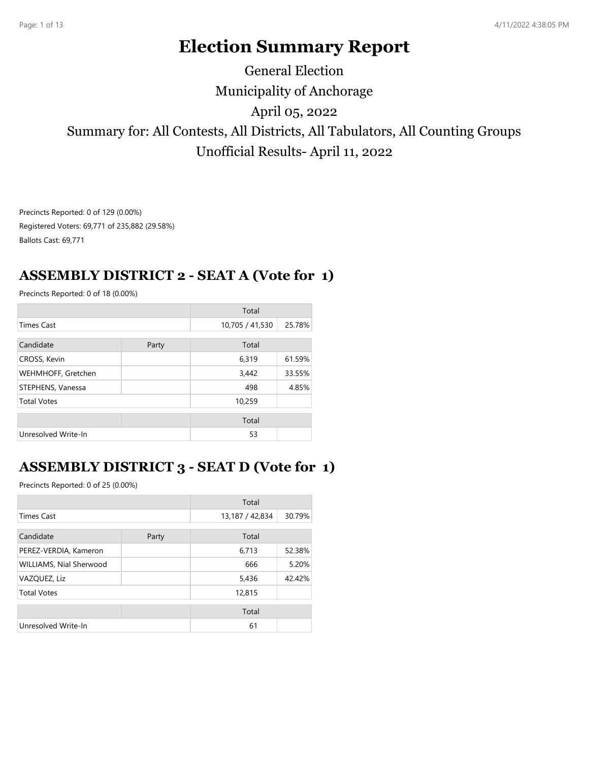# **Election Summary Report**

# Municipality of Anchorage Summary for: All Contests, All Districts, All Tabulators, All Counting Groups Unofficial Results- April 11, 2022 April 05, 2022 General Election

Precincts Reported: 0 of 129 (0.00%) Registered Voters: 69,771 of 235,882 (29.58%) Ballots Cast: 69,771

# **ASSEMBLY DISTRICT 2 - SEAT A (Vote for 1)**

Precincts Reported: 0 of 18 (0.00%)

|                     |       | Total           |        |
|---------------------|-------|-----------------|--------|
| <b>Times Cast</b>   |       | 10,705 / 41,530 | 25.78% |
| Candidate           | Party | Total           |        |
| CROSS, Kevin        |       | 6,319           | 61.59% |
| WEHMHOFF, Gretchen  |       | 3,442           | 33.55% |
| STEPHENS, Vanessa   |       | 498             | 4.85%  |
| <b>Total Votes</b>  |       | 10,259          |        |
|                     |       | Total           |        |
| Unresolved Write-In |       | 53              |        |

# **ASSEMBLY DISTRICT 3 - SEAT D (Vote for 1)**

|                         |       | Total           |        |
|-------------------------|-------|-----------------|--------|
| <b>Times Cast</b>       |       | 13,187 / 42,834 | 30.79% |
| Candidate               | Party | Total           |        |
| PEREZ-VERDIA, Kameron   |       | 6,713           | 52.38% |
| WILLIAMS, Nial Sherwood |       | 666             | 5.20%  |
| VAZQUEZ, Liz            |       | 5,436           | 42.42% |
| <b>Total Votes</b>      |       | 12,815          |        |
|                         |       | Total           |        |
| Unresolved Write-In     |       | 61              |        |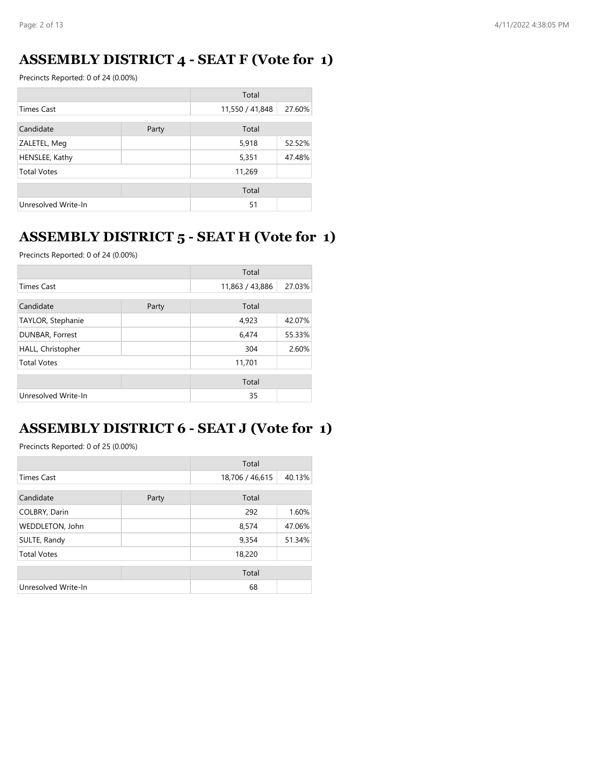### **ASSEMBLY DISTRICT 4 - SEAT F (Vote for 1)**

Precincts Reported: 0 of 24 (0.00%)

|                     |       | Total           |        |
|---------------------|-------|-----------------|--------|
| <b>Times Cast</b>   |       | 11,550 / 41,848 | 27.60% |
| Candidate           | Party | Total           |        |
| ZALETEL, Meg        |       | 5,918           | 52.52% |
| HENSLEE, Kathy      |       | 5,351           | 47.48% |
| <b>Total Votes</b>  |       | 11,269          |        |
|                     |       | Total           |        |
| Unresolved Write-In |       | 51              |        |

# **ASSEMBLY DISTRICT 5 - SEAT H (Vote for 1)**

Precincts Reported: 0 of 24 (0.00%)

|                     |       | Total           |        |
|---------------------|-------|-----------------|--------|
| <b>Times Cast</b>   |       | 11,863 / 43,886 | 27.03% |
| Candidate           | Party | Total           |        |
| TAYLOR, Stephanie   |       | 4,923           | 42.07% |
| DUNBAR, Forrest     |       | 6,474           | 55.33% |
| HALL, Christopher   |       | 304             | 2.60%  |
| <b>Total Votes</b>  |       | 11,701          |        |
|                     |       | Total           |        |
| Unresolved Write-In |       | 35              |        |

# **ASSEMBLY DISTRICT 6 - SEAT J (Vote for 1)**

|                     |       | Total           |        |
|---------------------|-------|-----------------|--------|
| <b>Times Cast</b>   |       | 18,706 / 46,615 | 40.13% |
| Candidate           | Party | Total           |        |
| COLBRY, Darin       |       | 292             | 1.60%  |
| WEDDLETON, John     |       | 8,574           | 47.06% |
| SULTE, Randy        |       | 9,354           | 51.34% |
| <b>Total Votes</b>  |       | 18,220          |        |
|                     |       | Total           |        |
| Unresolved Write-In |       | 68              |        |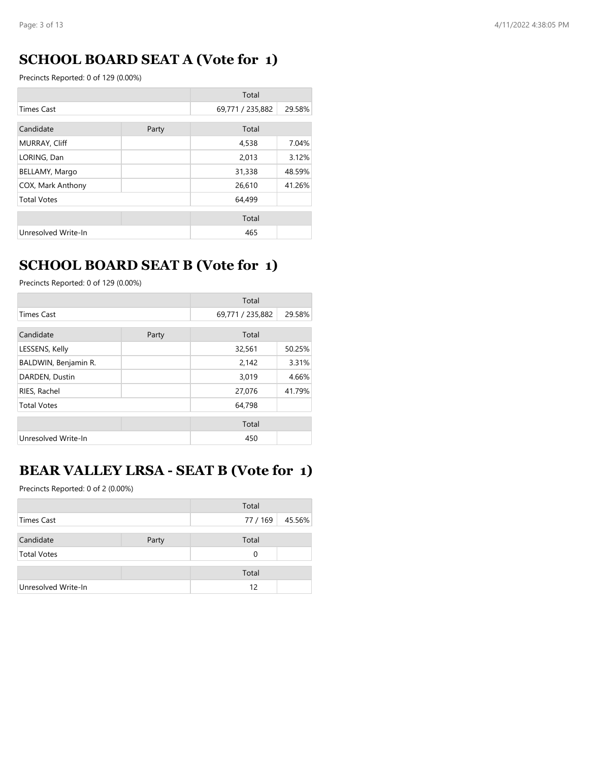# **SCHOOL BOARD SEAT A (Vote for 1)**

Precincts Reported: 0 of 129 (0.00%)

| Total               |       |                  |        |
|---------------------|-------|------------------|--------|
| <b>Times Cast</b>   |       | 69,771 / 235,882 | 29.58% |
| Candidate           | Party | Total            |        |
| MURRAY, Cliff       |       | 4,538            | 7.04%  |
| LORING, Dan         |       | 2,013            | 3.12%  |
| BELLAMY, Margo      |       | 31,338           | 48.59% |
| COX, Mark Anthony   |       | 26,610           | 41.26% |
| <b>Total Votes</b>  |       | 64,499           |        |
|                     |       | Total            |        |
| Unresolved Write-In |       | 465              |        |

### **SCHOOL BOARD SEAT B (Vote for 1)**

Precincts Reported: 0 of 129 (0.00%)

|                      |       | Total            |        |
|----------------------|-------|------------------|--------|
| <b>Times Cast</b>    |       | 69,771 / 235,882 | 29.58% |
| Candidate            | Party | Total            |        |
| LESSENS, Kelly       |       | 32,561           | 50.25% |
| BALDWIN, Benjamin R. |       | 2,142            | 3.31%  |
| DARDEN, Dustin       |       | 3,019            | 4.66%  |
| RIES, Rachel         |       | 27,076           | 41.79% |
| <b>Total Votes</b>   |       | 64,798           |        |
|                      |       | Total            |        |
| Unresolved Write-In  |       | 450              |        |

#### **BEAR VALLEY LRSA - SEAT B (Vote for 1)**

|                     |       | Total    |        |
|---------------------|-------|----------|--------|
| Times Cast          |       | 77 / 169 | 45.56% |
|                     |       |          |        |
| Candidate           | Party | Total    |        |
| <b>Total Votes</b>  |       | 0        |        |
|                     |       | Total    |        |
| Unresolved Write-In |       | 12       |        |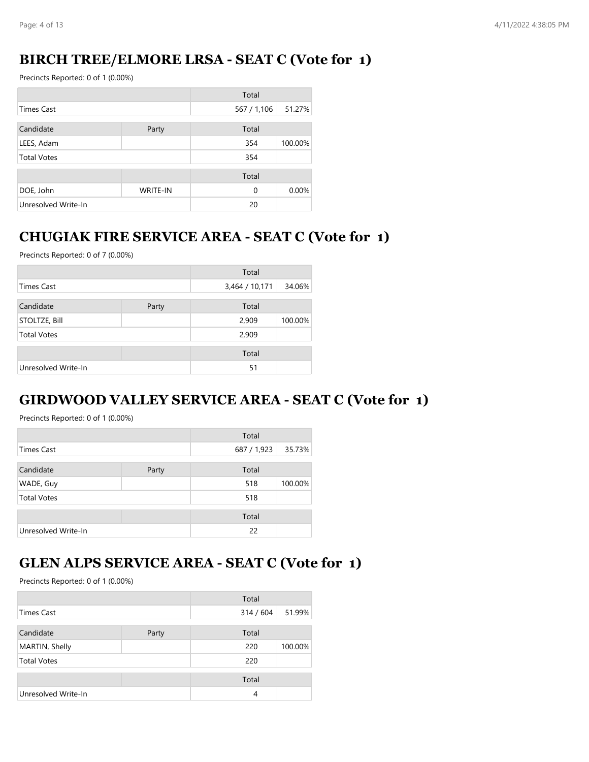# **BIRCH TREE/ELMORE LRSA - SEAT C (Vote for 1)**

Precincts Reported: 0 of 1 (0.00%)

|                     |                 | Total       |         |
|---------------------|-----------------|-------------|---------|
| Times Cast          |                 | 567 / 1,106 | 51.27%  |
| Candidate           | Party           | Total       |         |
| LEES, Adam          |                 | 354         | 100.00% |
| <b>Total Votes</b>  |                 | 354         |         |
|                     |                 | Total       |         |
| DOE, John           | <b>WRITE-IN</b> | $\Omega$    | 0.00%   |
| Unresolved Write-In |                 | 20          |         |

# **CHUGIAK FIRE SERVICE AREA - SEAT C (Vote for 1)**

Precincts Reported: 0 of 7 (0.00%)

|                     |       | Total          |         |
|---------------------|-------|----------------|---------|
| <b>Times Cast</b>   |       | 3,464 / 10,171 | 34.06%  |
| Candidate           | Party | Total          |         |
| STOLTZE, Bill       |       | 2,909          | 100.00% |
| <b>Total Votes</b>  |       | 2,909          |         |
|                     |       | Total          |         |
| Unresolved Write-In |       | 51             |         |

# **GIRDWOOD VALLEY SERVICE AREA - SEAT C (Vote for 1)**

Precincts Reported: 0 of 1 (0.00%)

|                     |       | Total       |         |
|---------------------|-------|-------------|---------|
| <b>Times Cast</b>   |       | 687 / 1,923 | 35.73%  |
| Candidate           | Party | Total       |         |
| WADE, Guy           |       | 518         | 100.00% |
| <b>Total Votes</b>  |       | 518         |         |
|                     |       | Total       |         |
| Unresolved Write-In |       | 22          |         |

### **GLEN ALPS SERVICE AREA - SEAT C (Vote for 1)**

|                     |       | Total     |         |
|---------------------|-------|-----------|---------|
| <b>Times Cast</b>   |       | 314 / 604 | 51.99%  |
| Candidate           | Party | Total     |         |
| MARTIN, Shelly      |       | 220       | 100.00% |
| <b>Total Votes</b>  |       | 220       |         |
|                     |       | Total     |         |
| Unresolved Write-In |       | 4         |         |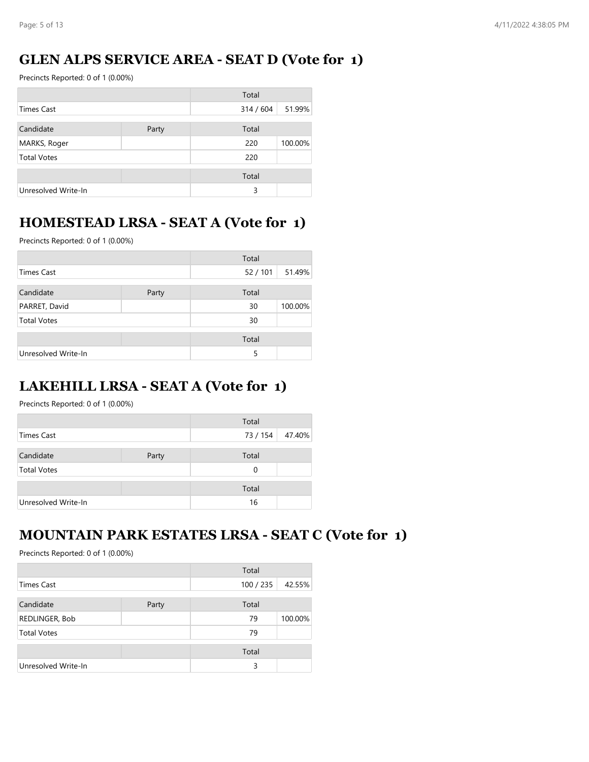# **GLEN ALPS SERVICE AREA - SEAT D (Vote for 1)**

Precincts Reported: 0 of 1 (0.00%)

|                     |       | Total   |         |
|---------------------|-------|---------|---------|
| Times Cast          |       | 314/604 | 51.99%  |
| Candidate           | Party | Total   |         |
| MARKS, Roger        |       | 220     | 100.00% |
| <b>Total Votes</b>  |       | 220     |         |
|                     |       | Total   |         |
| Unresolved Write-In |       | 3       |         |

# **HOMESTEAD LRSA - SEAT A (Vote for 1)**

Precincts Reported: 0 of 1 (0.00%)

|                     |       | Total  |         |
|---------------------|-------|--------|---------|
| <b>Times Cast</b>   |       | 52/101 | 51.49%  |
| Candidate           | Party | Total  |         |
| PARRET, David       |       | 30     | 100.00% |
| <b>Total Votes</b>  |       | 30     |         |
|                     |       | Total  |         |
| Unresolved Write-In |       | 5      |         |

# **LAKEHILL LRSA - SEAT A (Vote for 1)**

Precincts Reported: 0 of 1 (0.00%)

|                     |       | Total    |        |
|---------------------|-------|----------|--------|
| Times Cast          |       | 73 / 154 | 47.40% |
|                     |       |          |        |
| Candidate           | Party | Total    |        |
| <b>Total Votes</b>  |       | 0        |        |
|                     |       | Total    |        |
|                     |       |          |        |
| Unresolved Write-In |       | 16       |        |

# **MOUNTAIN PARK ESTATES LRSA - SEAT C (Vote for 1)**

|                     |       | Total     |         |
|---------------------|-------|-----------|---------|
| Times Cast          |       | 100 / 235 | 42.55%  |
| Candidate           | Party | Total     |         |
| REDLINGER, Bob      |       | 79        | 100.00% |
| <b>Total Votes</b>  |       | 79        |         |
|                     |       | Total     |         |
| Unresolved Write-In |       | 3         |         |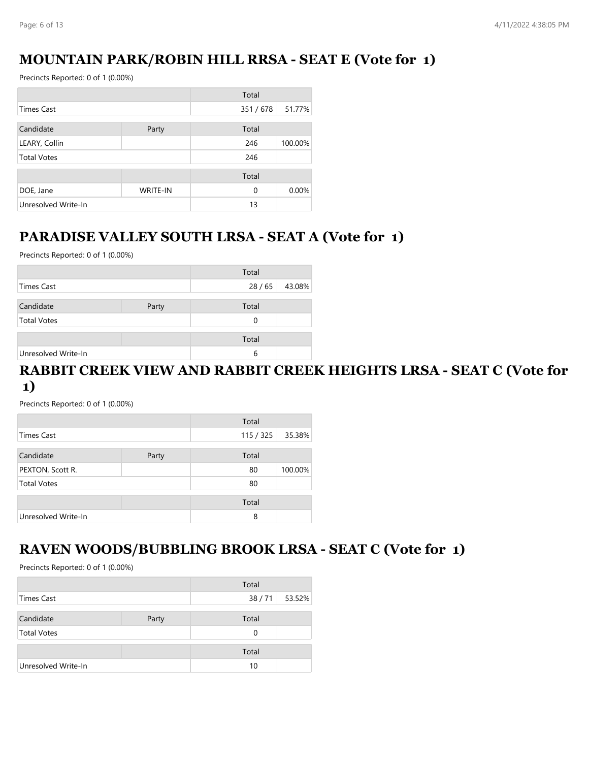# **MOUNTAIN PARK/ROBIN HILL RRSA - SEAT E (Vote for 1)**

Precincts Reported: 0 of 1 (0.00%)

|                     |                 | Total    |         |
|---------------------|-----------------|----------|---------|
| <b>Times Cast</b>   |                 | 351/678  | 51.77%  |
| Candidate<br>Party  |                 | Total    |         |
| LEARY, Collin       |                 | 246      | 100.00% |
| <b>Total Votes</b>  |                 | 246      |         |
|                     |                 | Total    |         |
| DOE, Jane           | <b>WRITE-IN</b> | $\Omega$ | 0.00%   |
| Unresolved Write-In |                 | 13       |         |

# **PARADISE VALLEY SOUTH LRSA - SEAT A (Vote for 1)**

Precincts Reported: 0 of 1 (0.00%)

|                     |       | Total |        |
|---------------------|-------|-------|--------|
| Times Cast          |       | 28/65 | 43.08% |
| Candidate           | Party | Total |        |
| <b>Total Votes</b>  |       | 0     |        |
|                     |       | Total |        |
| Unresolved Write-In |       | 6     |        |

#### **RABBIT CREEK VIEW AND RABBIT CREEK HEIGHTS LRSA - SEAT C (Vote for 1)**

Precincts Reported: 0 of 1 (0.00%)

|                     |       | Total   |         |
|---------------------|-------|---------|---------|
| Times Cast          |       | 115/325 | 35.38%  |
| Candidate           | Party | Total   |         |
| PEXTON, Scott R.    |       | 80      | 100.00% |
| <b>Total Votes</b>  |       | 80      |         |
|                     |       | Total   |         |
| Unresolved Write-In |       | 8       |         |

#### **RAVEN WOODS/BUBBLING BROOK LRSA - SEAT C (Vote for 1)**

|                     |       | Total |        |
|---------------------|-------|-------|--------|
| Times Cast          |       | 38/71 | 53.52% |
|                     |       |       |        |
| Candidate           | Party | Total |        |
| <b>Total Votes</b>  |       | 0     |        |
|                     |       |       |        |
|                     |       | Total |        |
| Unresolved Write-In |       | 10    |        |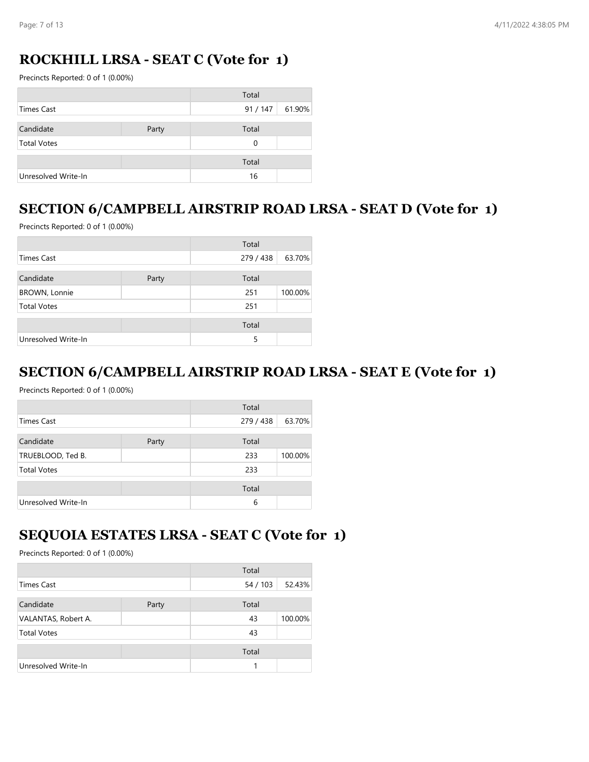# **ROCKHILL LRSA - SEAT C (Vote for 1)**

Precincts Reported: 0 of 1 (0.00%)

|                     |       | Total    |        |
|---------------------|-------|----------|--------|
| Times Cast          |       | 91 / 147 | 61.90% |
| Candidate           | Party | Total    |        |
| <b>Total Votes</b>  |       | 0        |        |
|                     |       | Total    |        |
| Unresolved Write-In |       | 16       |        |

# **SECTION 6/CAMPBELL AIRSTRIP ROAD LRSA - SEAT D (Vote for 1)**

Precincts Reported: 0 of 1 (0.00%)

|                      |       | Total     |         |
|----------------------|-------|-----------|---------|
| Times Cast           |       | 279 / 438 | 63.70%  |
| Candidate            | Party | Total     |         |
| <b>BROWN, Lonnie</b> |       | 251       | 100.00% |
| <b>Total Votes</b>   |       | 251       |         |
|                      |       | Total     |         |
| Unresolved Write-In  |       | 5         |         |

#### **SECTION 6/CAMPBELL AIRSTRIP ROAD LRSA - SEAT E (Vote for 1)**

Precincts Reported: 0 of 1 (0.00%)

|                     |       | Total     |         |
|---------------------|-------|-----------|---------|
| <b>Times Cast</b>   |       | 279 / 438 | 63.70%  |
| Candidate           | Party | Total     |         |
| TRUEBLOOD, Ted B.   |       | 233       | 100.00% |
| <b>Total Votes</b>  |       | 233       |         |
|                     |       | Total     |         |
| Unresolved Write-In |       | 6         |         |

#### **SEQUOIA ESTATES LRSA - SEAT C (Vote for 1)**

|                     |       | Total    |         |
|---------------------|-------|----------|---------|
| Times Cast          |       | 54 / 103 | 52.43%  |
| Candidate           | Party | Total    |         |
| VALANTAS, Robert A. |       | 43       | 100.00% |
| <b>Total Votes</b>  |       | 43       |         |
|                     |       | Total    |         |
| Unresolved Write-In |       |          |         |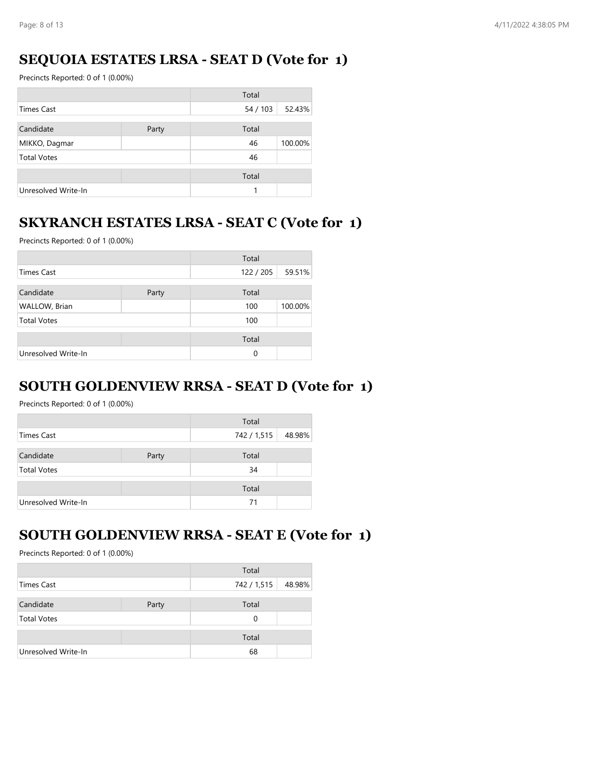# **SEQUOIA ESTATES LRSA - SEAT D (Vote for 1)**

Precincts Reported: 0 of 1 (0.00%)

|                     |       | Total    |         |
|---------------------|-------|----------|---------|
| <b>Times Cast</b>   |       | 54 / 103 | 52.43%  |
| Candidate           | Party | Total    |         |
| MIKKO, Dagmar       |       | 46       | 100.00% |
| <b>Total Votes</b>  |       | 46       |         |
|                     |       | Total    |         |
| Unresolved Write-In |       | 1        |         |

### **SKYRANCH ESTATES LRSA - SEAT C (Vote for 1)**

Precincts Reported: 0 of 1 (0.00%)

|                     |       | Total    |         |
|---------------------|-------|----------|---------|
| Times Cast          |       | 122/205  | 59.51%  |
| Candidate           | Party | Total    |         |
| WALLOW, Brian       |       | 100      | 100.00% |
| <b>Total Votes</b>  |       | 100      |         |
|                     |       | Total    |         |
| Unresolved Write-In |       | $\Omega$ |         |

#### **SOUTH GOLDENVIEW RRSA - SEAT D (Vote for 1)**

Precincts Reported: 0 of 1 (0.00%)

|                     |       | Total       |        |
|---------------------|-------|-------------|--------|
| Times Cast          |       | 742 / 1,515 | 48.98% |
| Candidate           | Party | Total       |        |
| <b>Total Votes</b>  |       | 34          |        |
|                     |       | Total       |        |
| Unresolved Write-In |       | 71          |        |

#### **SOUTH GOLDENVIEW RRSA - SEAT E (Vote for 1)**

|                     |       | Total       |        |
|---------------------|-------|-------------|--------|
| Times Cast          |       | 742 / 1,515 | 48.98% |
| Candidate           | Party | Total       |        |
| <b>Total Votes</b>  |       | 0           |        |
|                     |       | Total       |        |
| Unresolved Write-In |       | 68          |        |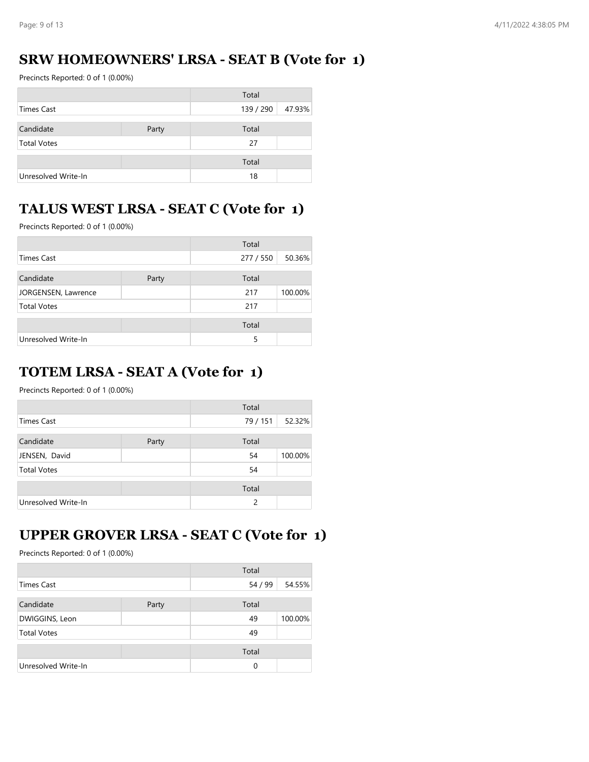# **SRW HOMEOWNERS' LRSA - SEAT B (Vote for 1)**

Precincts Reported: 0 of 1 (0.00%)

|                     |       | Total     |        |
|---------------------|-------|-----------|--------|
| Times Cast          |       | 139 / 290 | 47.93% |
| Candidate           | Party | Total     |        |
| <b>Total Votes</b>  |       | 27        |        |
|                     |       | Total     |        |
| Unresolved Write-In |       | 18        |        |

# **TALUS WEST LRSA - SEAT C (Vote for 1)**

Precincts Reported: 0 of 1 (0.00%)

|                     |       | Total     |         |
|---------------------|-------|-----------|---------|
| <b>Times Cast</b>   |       | 277 / 550 | 50.36%  |
| Candidate           | Party | Total     |         |
| JORGENSEN, Lawrence |       | 217       | 100.00% |
| <b>Total Votes</b>  |       | 217       |         |
|                     |       | Total     |         |
| Unresolved Write-In |       | 5         |         |

# **TOTEM LRSA - SEAT A (Vote for 1)**

Precincts Reported: 0 of 1 (0.00%)

|                     |       | Total         |         |
|---------------------|-------|---------------|---------|
| Times Cast          |       | 79 / 151      | 52.32%  |
| Candidate           | Party | Total         |         |
| JENSEN, David       |       | 54            | 100.00% |
| <b>Total Votes</b>  |       | 54            |         |
|                     |       | Total         |         |
| Unresolved Write-In |       | $\mathcal{P}$ |         |

# **UPPER GROVER LRSA - SEAT C (Vote for 1)**

|                     |       | Total    |         |
|---------------------|-------|----------|---------|
| <b>Times Cast</b>   |       | 54 / 99  | 54.55%  |
| Candidate           | Party | Total    |         |
| DWIGGINS, Leon      |       | 49       | 100.00% |
| <b>Total Votes</b>  |       | 49       |         |
|                     |       | Total    |         |
| Unresolved Write-In |       | $\Omega$ |         |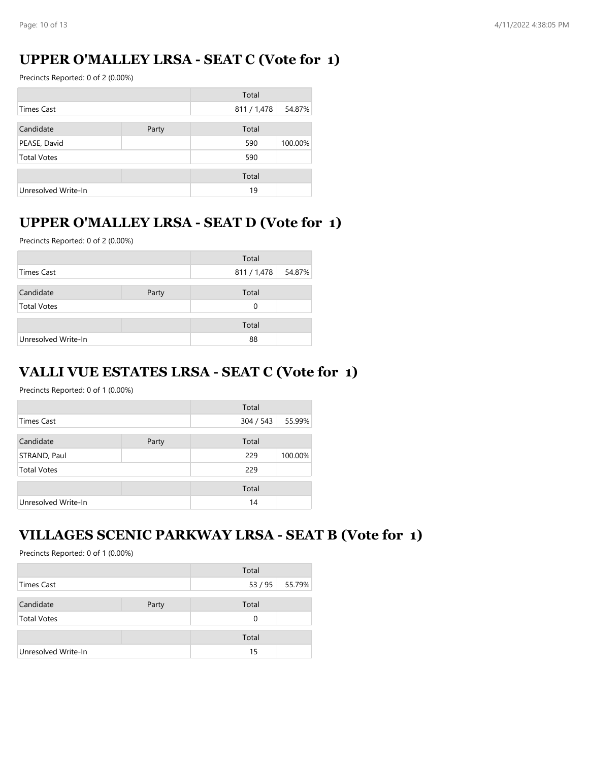# **UPPER O'MALLEY LRSA - SEAT C (Vote for 1)**

Precincts Reported: 0 of 2 (0.00%)

|                     |       | Total       |         |
|---------------------|-------|-------------|---------|
| Times Cast          |       | 811 / 1,478 | 54.87%  |
| Candidate           | Party | Total       |         |
| PEASE, David        |       | 590         | 100.00% |
| <b>Total Votes</b>  |       | 590         |         |
|                     |       | Total       |         |
| Unresolved Write-In |       | 19          |         |

### **UPPER O'MALLEY LRSA - SEAT D (Vote for 1)**

Precincts Reported: 0 of 2 (0.00%)

|                     |       | Total       |        |
|---------------------|-------|-------------|--------|
| Times Cast          |       | 811 / 1,478 | 54.87% |
| Candidate           | Party | Total       |        |
| <b>Total Votes</b>  |       | 0           |        |
|                     |       | Total       |        |
| Unresolved Write-In |       | 88          |        |

#### **VALLI VUE ESTATES LRSA - SEAT C (Vote for 1)**

Precincts Reported: 0 of 1 (0.00%)

|                     |       | Total     |         |
|---------------------|-------|-----------|---------|
| <b>Times Cast</b>   |       | 304 / 543 | 55.99%  |
| Candidate           | Party | Total     |         |
| STRAND, Paul        |       | 229       | 100.00% |
| <b>Total Votes</b>  |       | 229       |         |
|                     |       | Total     |         |
| Unresolved Write-In |       | 14        |         |

#### **VILLAGES SCENIC PARKWAY LRSA - SEAT B (Vote for 1)**

|                     |       | Total |                |
|---------------------|-------|-------|----------------|
| Times Cast          |       |       | 53 / 95 55.79% |
| Candidate           | Party | Total |                |
| <b>Total Votes</b>  |       | 0     |                |
|                     |       | Total |                |
| Unresolved Write-In |       | 15    |                |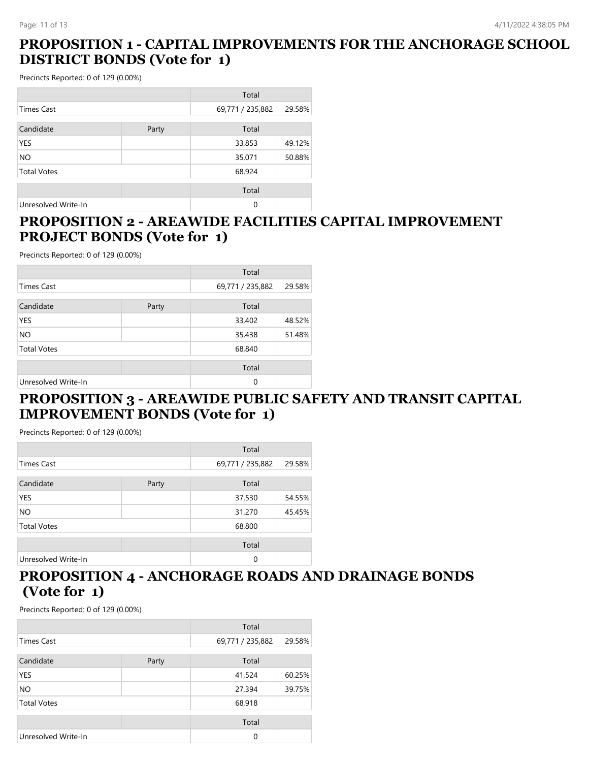### **PROPOSITION 1 - CAPITAL IMPROVEMENTS FOR THE ANCHORAGE SCHOOL DISTRICT BONDS (Vote for 1)**

Precincts Reported: 0 of 129 (0.00%)

|                     |       | Total            |        |
|---------------------|-------|------------------|--------|
| <b>Times Cast</b>   |       | 69,771 / 235,882 | 29.58% |
| Candidate           | Party | Total            |        |
| <b>YES</b>          |       | 33,853           | 49.12% |
| NO.                 |       | 35,071           | 50.88% |
| <b>Total Votes</b>  |       | 68,924           |        |
|                     |       | Total            |        |
| Unresolved Write-In |       | 0                |        |

#### **PROPOSITION 2 - AREAWIDE FACILITIES CAPITAL IMPROVEMENT PROJECT BONDS (Vote for 1)**

Precincts Reported: 0 of 129 (0.00%)

|                     |       | Total            |        |
|---------------------|-------|------------------|--------|
| <b>Times Cast</b>   |       | 69,771 / 235,882 | 29.58% |
| Candidate           | Party | Total            |        |
| <b>YES</b>          |       | 33,402           | 48.52% |
| NO.                 |       | 35,438           | 51.48% |
| <b>Total Votes</b>  |       | 68,840           |        |
|                     |       | Total            |        |
| Unresolved Write-In |       | $\Omega$         |        |

#### **PROPOSITION 3 - AREAWIDE PUBLIC SAFETY AND TRANSIT CAPITAL IMPROVEMENT BONDS (Vote for 1)**

Precincts Reported: 0 of 129 (0.00%)

|                     |       | Total            |        |
|---------------------|-------|------------------|--------|
| <b>Times Cast</b>   |       | 69,771 / 235,882 | 29.58% |
| Candidate           | Party | Total            |        |
| <b>YES</b>          |       | 37,530           | 54.55% |
| NO.                 |       | 31,270           | 45.45% |
| <b>Total Votes</b>  |       | 68,800           |        |
|                     |       | Total            |        |
| Unresolved Write-In |       | $\Omega$         |        |

### **PROPOSITION 4 - ANCHORAGE ROADS AND DRAINAGE BONDS (Vote for 1)**

|                     |       | Total            |        |
|---------------------|-------|------------------|--------|
| <b>Times Cast</b>   |       | 69,771 / 235,882 | 29.58% |
| Candidate           | Party | Total            |        |
| YES                 |       | 41,524           | 60.25% |
| NO.                 |       | 27,394           | 39.75% |
| <b>Total Votes</b>  |       | 68,918           |        |
|                     |       | Total            |        |
| Unresolved Write-In |       | 0                |        |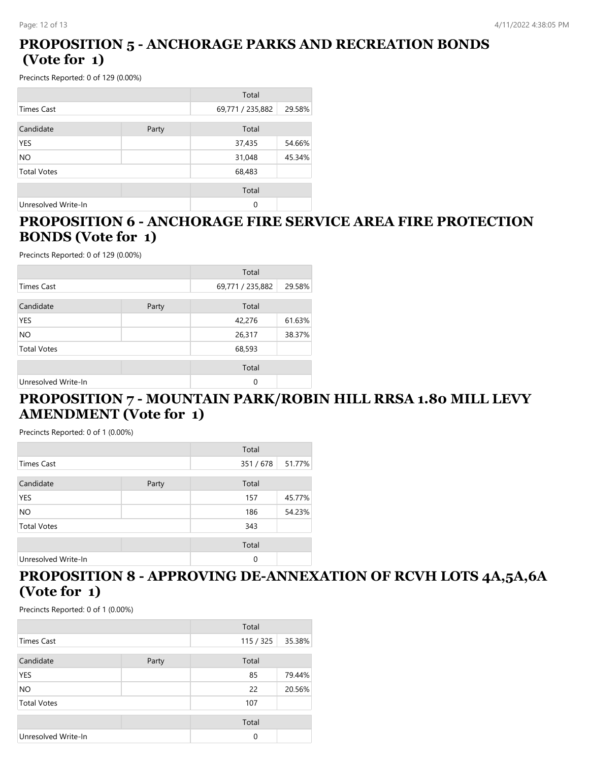### **PROPOSITION 5 - ANCHORAGE PARKS AND RECREATION BONDS (Vote for 1)**

Precincts Reported: 0 of 129 (0.00%)

|                     |       | Total            |        |
|---------------------|-------|------------------|--------|
| <b>Times Cast</b>   |       | 69,771 / 235,882 | 29.58% |
| Candidate           | Party | Total            |        |
| <b>YES</b>          |       | 37,435           | 54.66% |
| <b>NO</b>           |       | 31,048           | 45.34% |
| <b>Total Votes</b>  |       | 68,483           |        |
|                     |       | Total            |        |
| Unresolved Write-In |       | 0                |        |

### **PROPOSITION 6 - ANCHORAGE FIRE SERVICE AREA FIRE PROTECTION BONDS (Vote for 1)**

Precincts Reported: 0 of 129 (0.00%)

|                     |       | Total            |        |
|---------------------|-------|------------------|--------|
| <b>Times Cast</b>   |       | 69,771 / 235,882 | 29.58% |
| Candidate           | Party | Total            |        |
| YES                 |       | 42,276           | 61.63% |
| NO                  |       | 26,317           | 38.37% |
| <b>Total Votes</b>  |       | 68,593           |        |
|                     |       | Total            |        |
| Unresolved Write-In |       | $\Omega$         |        |

#### **PROPOSITION 7 - MOUNTAIN PARK/ROBIN HILL RRSA 1.80 MILL LEVY AMENDMENT (Vote for 1)**

Precincts Reported: 0 of 1 (0.00%)

|                     |       | Total       |        |
|---------------------|-------|-------------|--------|
| <b>Times Cast</b>   |       | 351/678     | 51.77% |
| Candidate           | Party | Total       |        |
| <b>YES</b>          |       | 157         | 45.77% |
| <b>NO</b>           |       | 186         | 54.23% |
| <b>Total Votes</b>  |       | 343         |        |
|                     |       | Total       |        |
| Unresolved Write-In |       | $\mathbf 0$ |        |

# **PROPOSITION 8 - APPROVING DE-ANNEXATION OF RCVH LOTS 4A,5A,6A (Vote for 1)**

| Total               |       |          |        |
|---------------------|-------|----------|--------|
| Times Cast          |       | 115/325  | 35.38% |
| Candidate           | Party | Total    |        |
| YES                 |       | 85       | 79.44% |
| <b>NO</b>           |       | 22       | 20.56% |
| <b>Total Votes</b>  |       | 107      |        |
|                     |       | Total    |        |
| Unresolved Write-In |       | $\Omega$ |        |